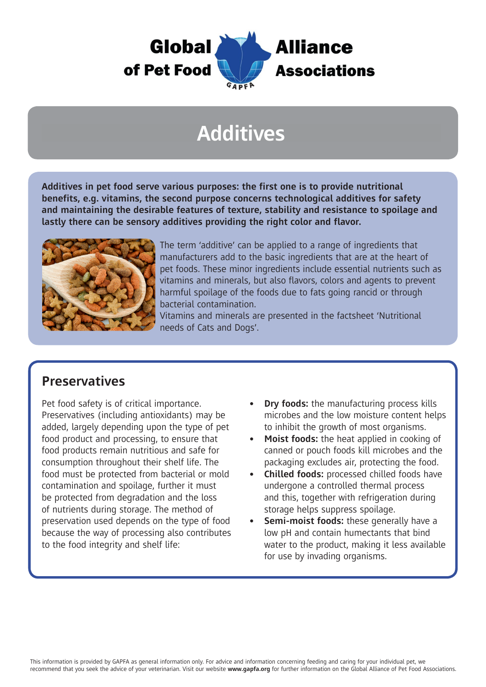

## **Additives**

**Additives in pet food serve various purposes: the first one is to provide nutritional benefits, e.g. vitamins, the second purpose concerns technological additives for safety and maintaining the desirable features of texture, stability and resistance to spoilage and lastly there can be sensory additives providing the right color and flavor.** 



The term 'additive' can be applied to a range of ingredients that manufacturers add to the basic ingredients that are at the heart of pet foods. These minor ingredients include essential nutrients such as vitamins and minerals, but also flavors, colors and agents to prevent harmful spoilage of the foods due to fats going rancid or through bacterial contamination.

Vitamins and minerals are presented in the factsheet 'Nutritional needs of Cats and Dogs'.

#### **Preservatives**

Pet food safety is of critical importance. Preservatives (including antioxidants) may be added, largely depending upon the type of pet food product and processing, to ensure that food products remain nutritious and safe for consumption throughout their shelf life. The food must be protected from bacterial or mold contamination and spoilage, further it must be protected from degradation and the loss of nutrients during storage. The method of preservation used depends on the type of food because the way of processing also contributes to the food integrity and shelf life:

- **• Dry foods:** the manufacturing process kills microbes and the low moisture content helps to inhibit the growth of most organisms.
- **• Moist foods:** the heat applied in cooking of canned or pouch foods kill microbes and the packaging excludes air, protecting the food.
- **• Chilled foods:** processed chilled foods have undergone a controlled thermal process and this, together with refrigeration during storage helps suppress spoilage.
- **• Semi-moist foods:** these generally have a low pH and contain humectants that bind water to the product, making it less available for use by invading organisms.